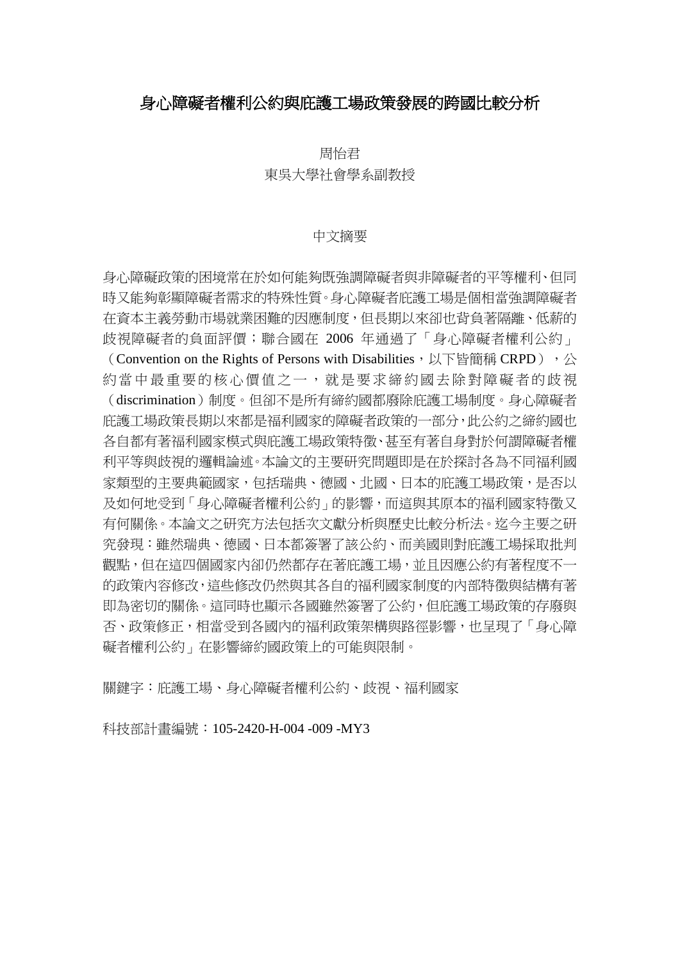## 身心障礙者權利公約與庇護工場政策發展的跨國比較分析

周怡君 東吳大學社會學系副教授

### 中文摘要

身心障礙政策的困境常在於如何能夠既強調障礙者與非障礙者的平等權利、但同 時又能夠彰顯障礙者需求的特殊性質。身心障礙者庇護工場是個相當強調障礙者 在資本主義勞動市場就業困難的因應制度,但長期以來卻也背負著隔離、低薪的 歧視障礙者的負面評價;聯合國在 2006 年通過了「身心障礙者權利公約」 (Convention on the Rights of Persons with Disabilities, 以下皆簡稱 CRPD), 公 約當中最重要的核心價值之一,就是要求締約國去除對障礙者的歧視 (discrimination)制度。但卻不是所有締約國都廢除庇護工場制度。身心障礙者 庇護工場政策長期以來都是福利國家的障礙者政策的一部分,此公約之締約國也 各自都有著福利國家模式與庇護工場政策特徵、甚至有著自身對於何謂障礙者權 利平等與歧視的邏輯論述。本論文的主要研究問題即是在於探討各為不同福利國 家類型的主要典範國家,包括瑞典、德國、北國、日本的庇護工場政策,是否以 及如何地受到「身心障礙者權利公約」的影響,而這與其原本的福利國家特徵又 有何關係。本論文之研究方法包括次文獻分析與歷史比較分析法。迄今主要之研 究發現:雖然瑞典、德國、日本都簽署了該公約、而美國則對庇護工場採取批判 觀點,但在這四個國家內卻仍然都存在著庇護工場,並且因應公約有著程度不一 的政策內容修改,這些修改仍然與其各自的福利國家制度的內部特徵與結構有著 即為密切的關係。這同時也顯示各國雖然簽署了公約,但庇護工場政策的存廢與 否、政策修正,相當受到各國內的福利政策架構與路徑影響,也呈現了「身心障 礙者權利公約」在影響締約國政策上的可能與限制。

關鍵字:庇護工場、身心障礙者權利公約、歧視、福利國家

科技部計畫編號:105-2420-H-004 -009 -MY3